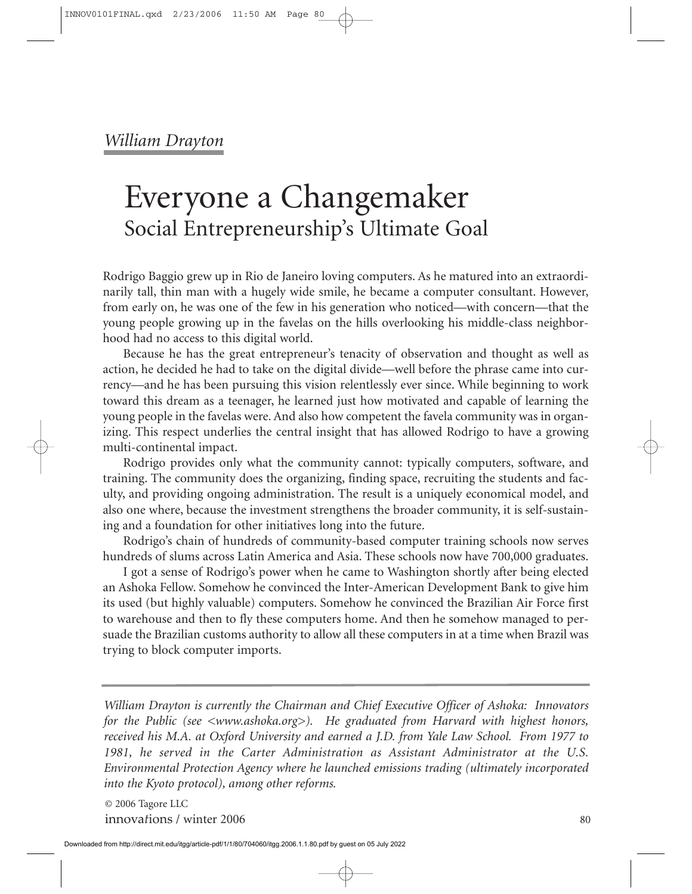# Everyone a Changemaker Social Entrepreneurship's Ultimate Goal

Rodrigo Baggio grew up in Rio de Janeiro loving computers. As he matured into an extraordinarily tall, thin man with a hugely wide smile, he became a computer consultant. However, from early on, he was one of the few in his generation who noticed—with concern—that the young people growing up in the favelas on the hills overlooking his middle-class neighborhood had no access to this digital world.

Because he has the great entrepreneur's tenacity of observation and thought as well as action, he decided he had to take on the digital divide—well before the phrase came into currency—and he has been pursuing this vision relentlessly ever since. While beginning to work toward this dream as a teenager, he learned just how motivated and capable of learning the young people in the favelas were. And also how competent the favela community was in organizing. This respect underlies the central insight that has allowed Rodrigo to have a growing multi-continental impact.

Rodrigo provides only what the community cannot: typically computers, software, and training. The community does the organizing, finding space, recruiting the students and faculty, and providing ongoing administration. The result is a uniquely economical model, and also one where, because the investment strengthens the broader community, it is self-sustaining and a foundation for other initiatives long into the future.

Rodrigo's chain of hundreds of community-based computer training schools now serves hundreds of slums across Latin America and Asia. These schools now have 700,000 graduates.

I got a sense of Rodrigo's power when he came to Washington shortly after being elected an Ashoka Fellow. Somehow he convinced the Inter-American Development Bank to give him its used (but highly valuable) computers. Somehow he convinced the Brazilian Air Force first to warehouse and then to fly these computers home. And then he somehow managed to persuade the Brazilian customs authority to allow all these computers in at a time when Brazil was trying to block computer imports.

*William Drayton is currently the Chairman and Chief Executive Officer of Ashoka: Innovators for the Public (see <www.ashoka.org>). He graduated from Harvard with highest honors, received his M.A. at Oxford University and earned a J.D. from Yale Law School. From 1977 to 1981, he served in the Carter Administration as Assistant Administrator at the U.S. Environmental Protection Agency where he launched emissions trading (ultimately incorporated into the Kyoto protocol), among other reforms.*

© 2006 Tagore LLC innovations / winter 2006 80

Downloaded from http://direct.mit.edu/itgg/article-pdf/1/1/80/704060/itgg.2006.1.1.80.pdf by guest on 05 July 2022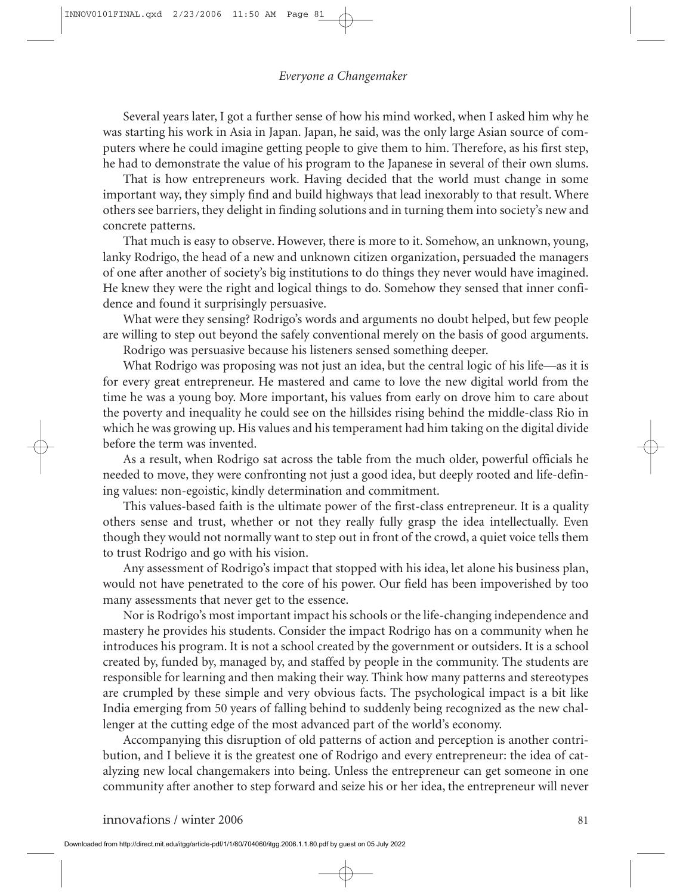Several years later, I got a further sense of how his mind worked, when I asked him why he was starting his work in Asia in Japan. Japan, he said, was the only large Asian source of computers where he could imagine getting people to give them to him. Therefore, as his first step, he had to demonstrate the value of his program to the Japanese in several of their own slums.

That is how entrepreneurs work. Having decided that the world must change in some important way, they simply find and build highways that lead inexorably to that result. Where others see barriers, they delight in finding solutions and in turning them into society's new and concrete patterns.

That much is easy to observe. However, there is more to it. Somehow, an unknown, young, lanky Rodrigo, the head of a new and unknown citizen organization, persuaded the managers of one after another of society's big institutions to do things they never would have imagined. He knew they were the right and logical things to do. Somehow they sensed that inner confidence and found it surprisingly persuasive.

What were they sensing? Rodrigo's words and arguments no doubt helped, but few people are willing to step out beyond the safely conventional merely on the basis of good arguments. Rodrigo was persuasive because his listeners sensed something deeper.

What Rodrigo was proposing was not just an idea, but the central logic of his life—as it is

for every great entrepreneur. He mastered and came to love the new digital world from the time he was a young boy. More important, his values from early on drove him to care about the poverty and inequality he could see on the hillsides rising behind the middle-class Rio in which he was growing up. His values and his temperament had him taking on the digital divide before the term was invented.

As a result, when Rodrigo sat across the table from the much older, powerful officials he needed to move, they were confronting not just a good idea, but deeply rooted and life-defining values: non-egoistic, kindly determination and commitment.

This values-based faith is the ultimate power of the first-class entrepreneur. It is a quality others sense and trust, whether or not they really fully grasp the idea intellectually. Even though they would not normally want to step out in front of the crowd, a quiet voice tells them to trust Rodrigo and go with his vision.

Any assessment of Rodrigo's impact that stopped with his idea, let alone his business plan, would not have penetrated to the core of his power. Our field has been impoverished by too many assessments that never get to the essence.

Nor is Rodrigo's most important impact his schools or the life-changing independence and mastery he provides his students. Consider the impact Rodrigo has on a community when he introduces his program. It is not a school created by the government or outsiders. It is a school created by, funded by, managed by, and staffed by people in the community. The students are responsible for learning and then making their way. Think how many patterns and stereotypes are crumpled by these simple and very obvious facts. The psychological impact is a bit like India emerging from 50 years of falling behind to suddenly being recognized as the new challenger at the cutting edge of the most advanced part of the world's economy.

Accompanying this disruption of old patterns of action and perception is another contribution, and I believe it is the greatest one of Rodrigo and every entrepreneur: the idea of catalyzing new local changemakers into being. Unless the entrepreneur can get someone in one community after another to step forward and seize his or her idea, the entrepreneur will never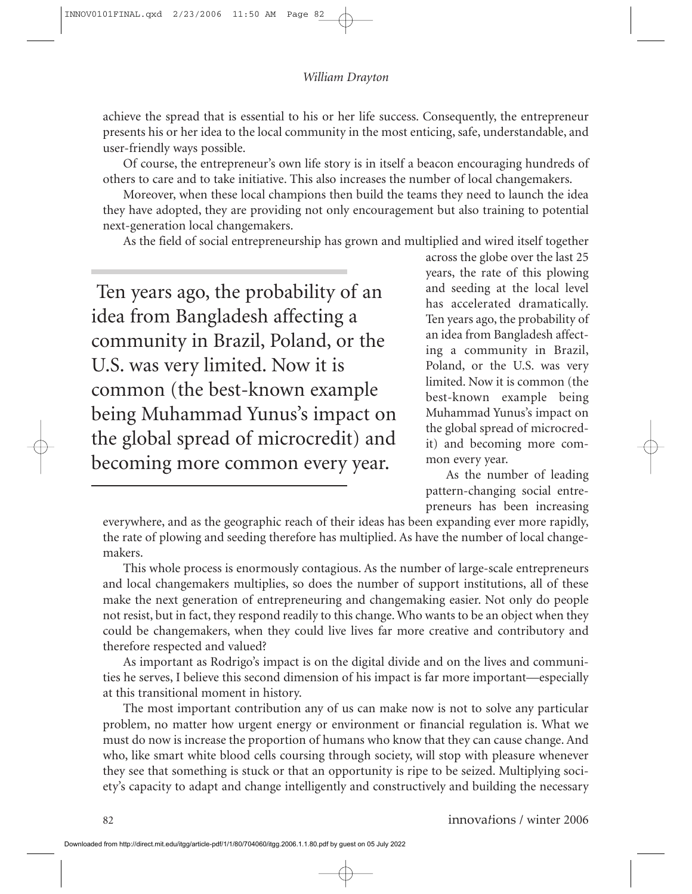achieve the spread that is essential to his or her life success. Consequently, the entrepreneur presents his or her idea to the local community in the most enticing, safe, understandable, and user-friendly ways possible.

Of course, the entrepreneur's own life story is in itself a beacon encouraging hundreds of others to care and to take initiative. This also increases the number of local changemakers.

Moreover, when these local champions then build the teams they need to launch the idea they have adopted, they are providing not only encouragement but also training to potential next-generation local changemakers.

As the field of social entrepreneurship has grown and multiplied and wired itself together

Ten years ago, the probability of an idea from Bangladesh affecting a community in Brazil, Poland, or the U.S. was very limited. Now it is common (the best-known example being Muhammad Yunus's impact on the global spread of microcredit) and becoming more common every year.

across the globe over the last 25 years, the rate of this plowing and seeding at the local level has accelerated dramatically. Ten years ago, the probability of an idea from Bangladesh affecting a community in Brazil, Poland, or the U.S. was very limited. Now it is common (the best-known example being Muhammad Yunus's impact on the global spread of microcredit) and becoming more common every year.

As the number of leading pattern-changing social entrepreneurs has been increasing

everywhere, and as the geographic reach of their ideas has been expanding ever more rapidly, the rate of plowing and seeding therefore has multiplied. As have the number of local changemakers.

This whole process is enormously contagious. As the number of large-scale entrepreneurs and local changemakers multiplies, so does the number of support institutions, all of these make the next generation of entrepreneuring and changemaking easier. Not only do people not resist, but in fact, they respond readily to this change. Who wants to be an object when they could be changemakers, when they could live lives far more creative and contributory and therefore respected and valued?

As important as Rodrigo's impact is on the digital divide and on the lives and communities he serves, I believe this second dimension of his impact is far more important—especially at this transitional moment in history.

The most important contribution any of us can make now is not to solve any particular problem, no matter how urgent energy or environment or financial regulation is. What we must do now is increase the proportion of humans who know that they can cause change. And who, like smart white blood cells coursing through society, will stop with pleasure whenever they see that something is stuck or that an opportunity is ripe to be seized. Multiplying society's capacity to adapt and change intelligently and constructively and building the necessary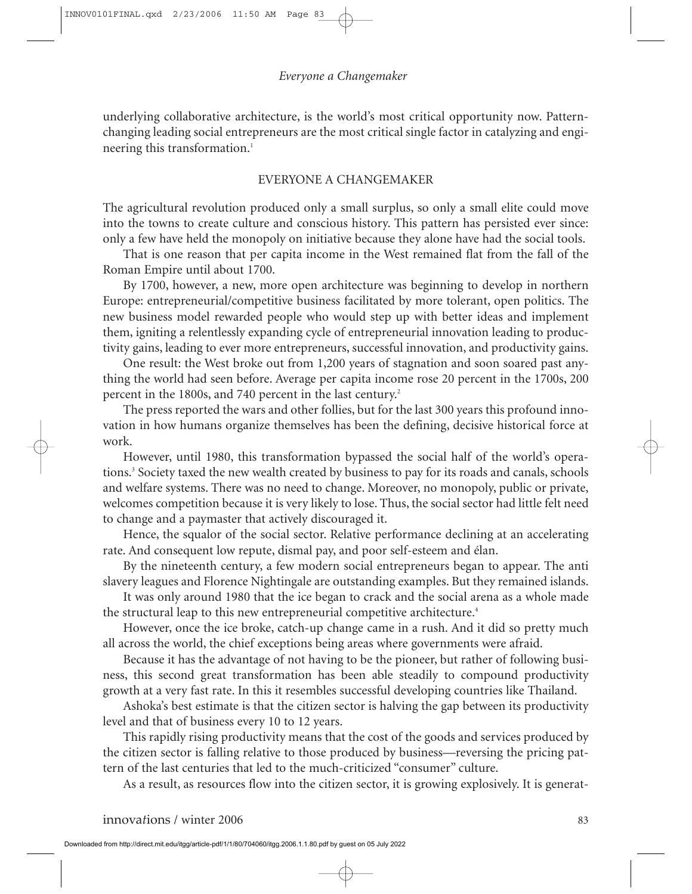underlying collaborative architecture, is the world's most critical opportunity now. Patternchanging leading social entrepreneurs are the most critical single factor in catalyzing and engineering this transformation.<sup>1</sup>

## EVERYONE A CHANGEMAKER

The agricultural revolution produced only a small surplus, so only a small elite could move into the towns to create culture and conscious history. This pattern has persisted ever since: only a few have held the monopoly on initiative because they alone have had the social tools.

That is one reason that per capita income in the West remained flat from the fall of the Roman Empire until about 1700.

By 1700, however, a new, more open architecture was beginning to develop in northern Europe: entrepreneurial/competitive business facilitated by more tolerant, open politics. The new business model rewarded people who would step up with better ideas and implement them, igniting a relentlessly expanding cycle of entrepreneurial innovation leading to productivity gains, leading to ever more entrepreneurs, successful innovation, and productivity gains.

One result: the West broke out from 1,200 years of stagnation and soon soared past anything the world had seen before. Average per capita income rose 20 percent in the 1700s, 200 percent in the 1800s, and 740 percent in the last century.<sup>2</sup>

The press reported the wars and other follies, but for the last 300 years this profound innovation in how humans organize themselves has been the defining, decisive historical force at work.

However, until 1980, this transformation bypassed the social half of the world's operations.3 Society taxed the new wealth created by business to pay for its roads and canals, schools and welfare systems. There was no need to change. Moreover, no monopoly, public or private, welcomes competition because it is very likely to lose. Thus, the social sector had little felt need to change and a paymaster that actively discouraged it.

Hence, the squalor of the social sector. Relative performance declining at an accelerating rate. And consequent low repute, dismal pay, and poor self-esteem and élan.

By the nineteenth century, a few modern social entrepreneurs began to appear. The anti slavery leagues and Florence Nightingale are outstanding examples. But they remained islands.

It was only around 1980 that the ice began to crack and the social arena as a whole made the structural leap to this new entrepreneurial competitive architecture.<sup>4</sup>

However, once the ice broke, catch-up change came in a rush. And it did so pretty much all across the world, the chief exceptions being areas where governments were afraid.

Because it has the advantage of not having to be the pioneer, but rather of following business, this second great transformation has been able steadily to compound productivity growth at a very fast rate. In this it resembles successful developing countries like Thailand.

Ashoka's best estimate is that the citizen sector is halving the gap between its productivity level and that of business every 10 to 12 years.

This rapidly rising productivity means that the cost of the goods and services produced by the citizen sector is falling relative to those produced by business—reversing the pricing pattern of the last centuries that led to the much-criticized "consumer" culture.

As a result, as resources flow into the citizen sector, it is growing explosively. It is generat-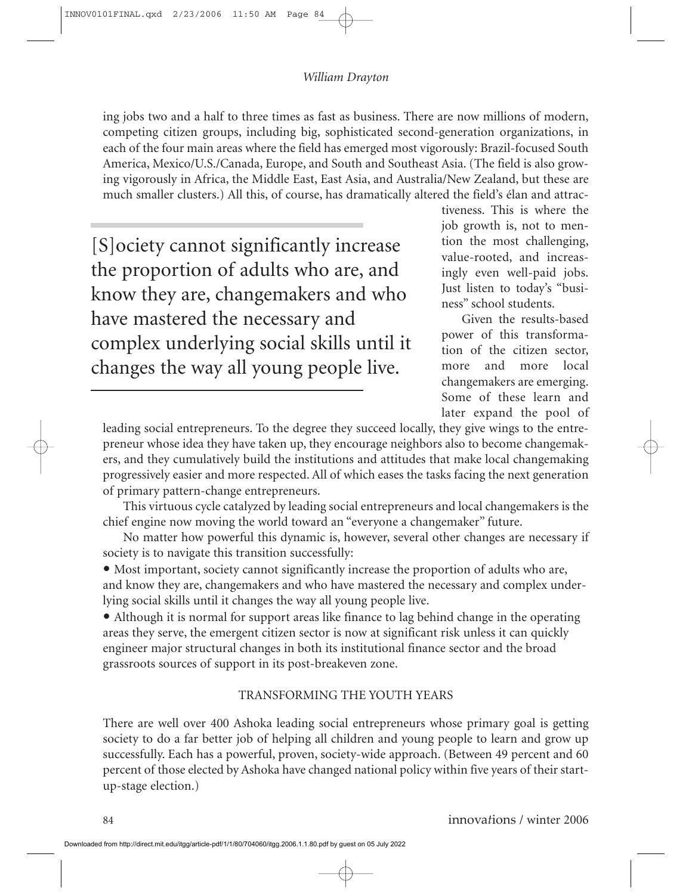ing jobs two and a half to three times as fast as business. There are now millions of modern, competing citizen groups, including big, sophisticated second-generation organizations, in each of the four main areas where the field has emerged most vigorously: Brazil-focused South America, Mexico/U.S./Canada, Europe, and South and Southeast Asia. (The field is also growing vigorously in Africa, the Middle East, East Asia, and Australia/New Zealand, but these are much smaller clusters.) All this, of course, has dramatically altered the field's élan and attrac-

[S]ociety cannot significantly increase the proportion of adults who are, and know they are, changemakers and who have mastered the necessary and complex underlying social skills until it changes the way all young people live.

tiveness. This is where the job growth is, not to mention the most challenging, value-rooted, and increasingly even well-paid jobs. Just listen to today's "business" school students.

Given the results-based power of this transformation of the citizen sector, more and more local changemakers are emerging. Some of these learn and later expand the pool of

leading social entrepreneurs. To the degree they succeed locally, they give wings to the entrepreneur whose idea they have taken up, they encourage neighbors also to become changemakers, and they cumulatively build the institutions and attitudes that make local changemaking progressively easier and more respected. All of which eases the tasks facing the next generation of primary pattern-change entrepreneurs.

This virtuous cycle catalyzed by leading social entrepreneurs and local changemakers is the chief engine now moving the world toward an "everyone a changemaker" future.

No matter how powerful this dynamic is, however, several other changes are necessary if society is to navigate this transition successfully:

• Most important, society cannot significantly increase the proportion of adults who are, and know they are, changemakers and who have mastered the necessary and complex underlying social skills until it changes the way all young people live.

• Although it is normal for support areas like finance to lag behind change in the operating areas they serve, the emergent citizen sector is now at significant risk unless it can quickly engineer major structural changes in both its institutional finance sector and the broad grassroots sources of support in its post-breakeven zone.

## TRANSFORMING THE YOUTH YEARS

There are well over 400 Ashoka leading social entrepreneurs whose primary goal is getting society to do a far better job of helping all children and young people to learn and grow up successfully. Each has a powerful, proven, society-wide approach. (Between 49 percent and 60 percent of those elected by Ashoka have changed national policy within five years of their startup-stage election.)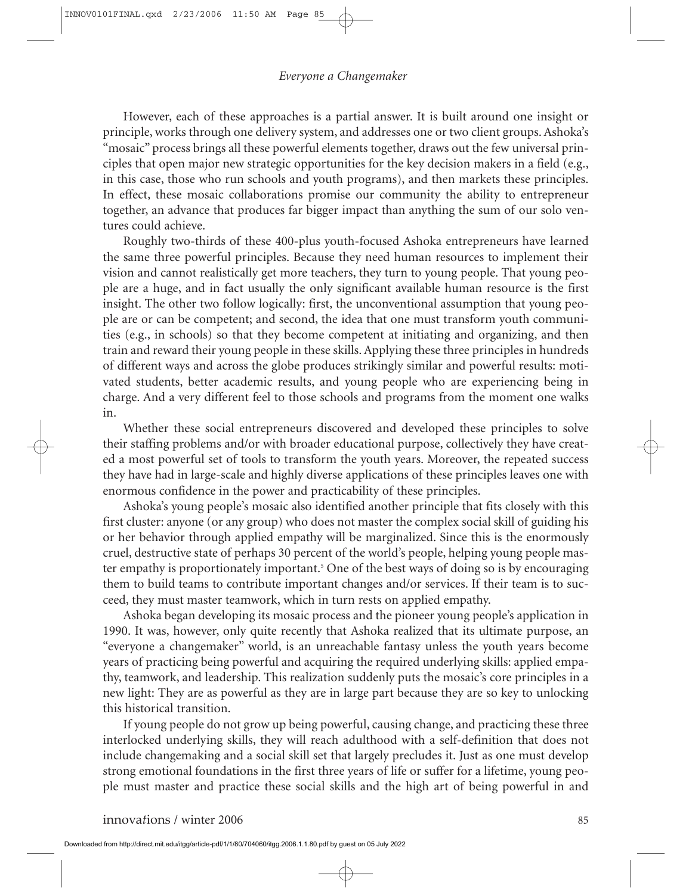However, each of these approaches is a partial answer. It is built around one insight or principle, works through one delivery system, and addresses one or two client groups. Ashoka's "mosaic" process brings all these powerful elements together, draws out the few universal principles that open major new strategic opportunities for the key decision makers in a field (e.g., in this case, those who run schools and youth programs), and then markets these principles. In effect, these mosaic collaborations promise our community the ability to entrepreneur together, an advance that produces far bigger impact than anything the sum of our solo ventures could achieve.

Roughly two-thirds of these 400-plus youth-focused Ashoka entrepreneurs have learned the same three powerful principles. Because they need human resources to implement their vision and cannot realistically get more teachers, they turn to young people. That young people are a huge, and in fact usually the only significant available human resource is the first insight. The other two follow logically: first, the unconventional assumption that young people are or can be competent; and second, the idea that one must transform youth communities (e.g., in schools) so that they become competent at initiating and organizing, and then train and reward their young people in these skills. Applying these three principles in hundreds of different ways and across the globe produces strikingly similar and powerful results: motivated students, better academic results, and young people who are experiencing being in charge. And a very different feel to those schools and programs from the moment one walks in.

Whether these social entrepreneurs discovered and developed these principles to solve their staffing problems and/or with broader educational purpose, collectively they have created a most powerful set of tools to transform the youth years. Moreover, the repeated success they have had in large-scale and highly diverse applications of these principles leaves one with enormous confidence in the power and practicability of these principles.

Ashoka's young people's mosaic also identified another principle that fits closely with this first cluster: anyone (or any group) who does not master the complex social skill of guiding his or her behavior through applied empathy will be marginalized. Since this is the enormously cruel, destructive state of perhaps 30 percent of the world's people, helping young people master empathy is proportionately important.5 One of the best ways of doing so is by encouraging them to build teams to contribute important changes and/or services. If their team is to succeed, they must master teamwork, which in turn rests on applied empathy.

Ashoka began developing its mosaic process and the pioneer young people's application in 1990. It was, however, only quite recently that Ashoka realized that its ultimate purpose, an "everyone a changemaker" world, is an unreachable fantasy unless the youth years become years of practicing being powerful and acquiring the required underlying skills: applied empathy, teamwork, and leadership. This realization suddenly puts the mosaic's core principles in a new light: They are as powerful as they are in large part because they are so key to unlocking this historical transition.

If young people do not grow up being powerful, causing change, and practicing these three interlocked underlying skills, they will reach adulthood with a self-definition that does not include changemaking and a social skill set that largely precludes it. Just as one must develop strong emotional foundations in the first three years of life or suffer for a lifetime, young people must master and practice these social skills and the high art of being powerful in and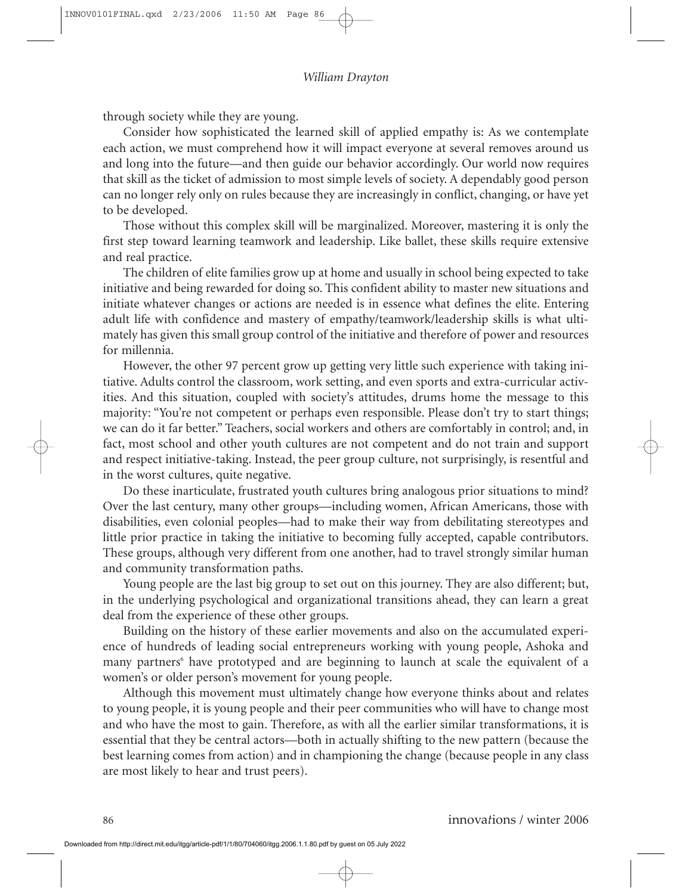through society while they are young.

Consider how sophisticated the learned skill of applied empathy is: As we contemplate each action, we must comprehend how it will impact everyone at several removes around us and long into the future—and then guide our behavior accordingly. Our world now requires that skill as the ticket of admission to most simple levels of society. A dependably good person can no longer rely only on rules because they are increasingly in conflict, changing, or have yet to be developed.

Those without this complex skill will be marginalized. Moreover, mastering it is only the first step toward learning teamwork and leadership. Like ballet, these skills require extensive and real practice.

The children of elite families grow up at home and usually in school being expected to take initiative and being rewarded for doing so. This confident ability to master new situations and initiate whatever changes or actions are needed is in essence what defines the elite. Entering adult life with confidence and mastery of empathy/teamwork/leadership skills is what ultimately has given this small group control of the initiative and therefore of power and resources for millennia.

However, the other 97 percent grow up getting very little such experience with taking initiative. Adults control the classroom, work setting, and even sports and extra-curricular activities. And this situation, coupled with society's attitudes, drums home the message to this majority: "You're not competent or perhaps even responsible. Please don't try to start things; we can do it far better." Teachers, social workers and others are comfortably in control; and, in fact, most school and other youth cultures are not competent and do not train and support and respect initiative-taking. Instead, the peer group culture, not surprisingly, is resentful and in the worst cultures, quite negative.

Do these inarticulate, frustrated youth cultures bring analogous prior situations to mind? Over the last century, many other groups—including women, African Americans, those with disabilities, even colonial peoples—had to make their way from debilitating stereotypes and little prior practice in taking the initiative to becoming fully accepted, capable contributors. These groups, although very different from one another, had to travel strongly similar human and community transformation paths.

Young people are the last big group to set out on this journey. They are also different; but, in the underlying psychological and organizational transitions ahead, they can learn a great deal from the experience of these other groups.

Building on the history of these earlier movements and also on the accumulated experience of hundreds of leading social entrepreneurs working with young people, Ashoka and many partners<sup>6</sup> have prototyped and are beginning to launch at scale the equivalent of a women's or older person's movement for young people.

Although this movement must ultimately change how everyone thinks about and relates to young people, it is young people and their peer communities who will have to change most and who have the most to gain. Therefore, as with all the earlier similar transformations, it is essential that they be central actors—both in actually shifting to the new pattern (because the best learning comes from action) and in championing the change (because people in any class are most likely to hear and trust peers).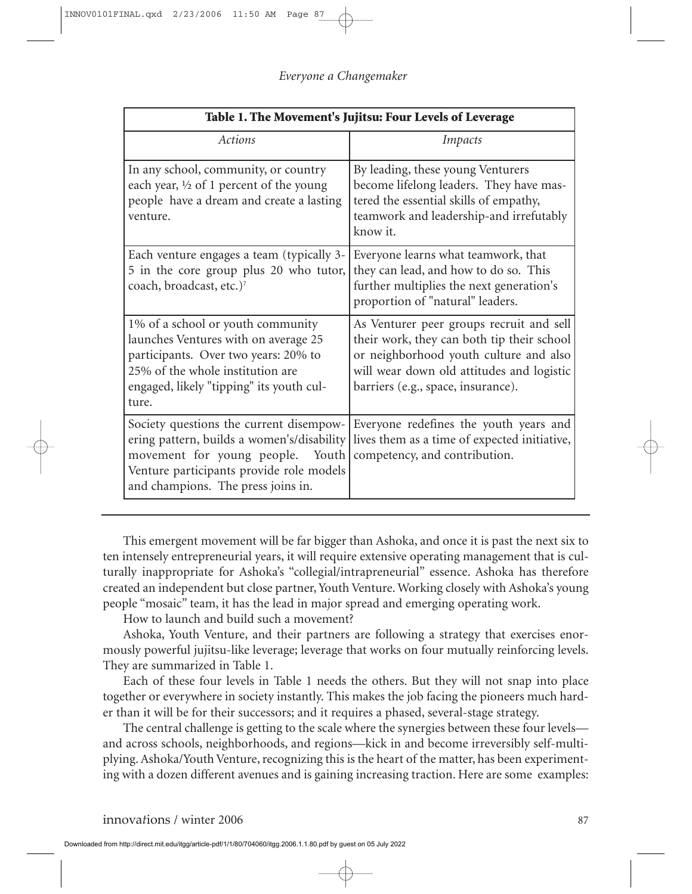| Table 1. The Movement's Jujitsu: Four Levels of Leverage                                                                                                                                                   |                                                                                                                                                                                                                     |
|------------------------------------------------------------------------------------------------------------------------------------------------------------------------------------------------------------|---------------------------------------------------------------------------------------------------------------------------------------------------------------------------------------------------------------------|
| Actions                                                                                                                                                                                                    | Impacts                                                                                                                                                                                                             |
| In any school, community, or country<br>each year, $\frac{1}{2}$ of 1 percent of the young<br>people have a dream and create a lasting<br>venture.                                                         | By leading, these young Venturers<br>become lifelong leaders. They have mas-<br>tered the essential skills of empathy,<br>teamwork and leadership-and irrefutably<br>know it.                                       |
| Each venture engages a team (typically 3-<br>5 in the core group plus 20 who tutor,<br>coach, broadcast, etc.) <sup>7</sup>                                                                                | Everyone learns what teamwork, that<br>they can lead, and how to do so. This<br>further multiplies the next generation's<br>proportion of "natural" leaders.                                                        |
| 1% of a school or youth community<br>launches Ventures with on average 25<br>participants. Over two years: 20% to<br>25% of the whole institution are<br>engaged, likely "tipping" its youth cul-<br>ture. | As Venturer peer groups recruit and sell<br>their work, they can both tip their school<br>or neighborhood youth culture and also<br>will wear down old attitudes and logistic<br>barriers (e.g., space, insurance). |
| movement for young people. Youth   competency, and contribution.<br>Venture participants provide role models<br>and champions. The press joins in.                                                         | Society questions the current disempow- Everyone redefines the youth years and<br>ering pattern, builds a women's/disability lives them as a time of expected initiative,                                           |

This emergent movement will be far bigger than Ashoka, and once it is past the next six to ten intensely entrepreneurial years, it will require extensive operating management that is culturally inappropriate for Ashoka's "collegial/intrapreneurial" essence. Ashoka has therefore created an independent but close partner, Youth Venture. Working closely with Ashoka's young people "mosaic" team, it has the lead in major spread and emerging operating work.

How to launch and build such a movement?

Ashoka, Youth Venture, and their partners are following a strategy that exercises enormously powerful jujitsu-like leverage; leverage that works on four mutually reinforcing levels. They are summarized in Table 1.

Each of these four levels in Table 1 needs the others. But they will not snap into place together or everywhere in society instantly. This makes the job facing the pioneers much harder than it will be for their successors; and it requires a phased, several-stage strategy.

The central challenge is getting to the scale where the synergies between these four levels and across schools, neighborhoods, and regions—kick in and become irreversibly self-multiplying. Ashoka/Youth Venture, recognizing this is the heart of the matter, has been experimenting with a dozen different avenues and is gaining increasing traction. Here are some examples: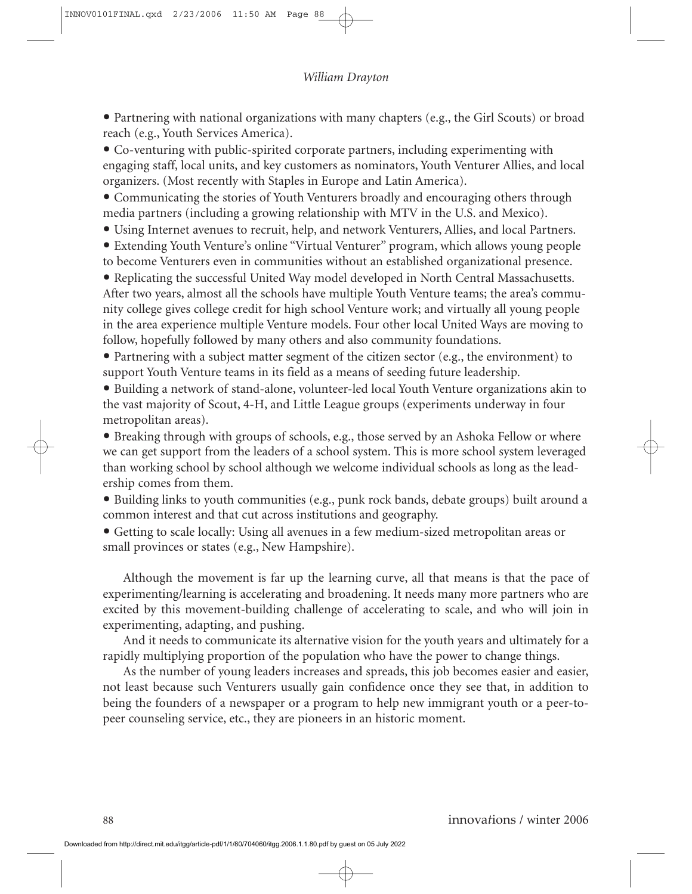• Partnering with national organizations with many chapters (e.g., the Girl Scouts) or broad reach (e.g., Youth Services America).

• Co-venturing with public-spirited corporate partners, including experimenting with engaging staff, local units, and key customers as nominators, Youth Venturer Allies, and local organizers. (Most recently with Staples in Europe and Latin America).

• Communicating the stories of Youth Venturers broadly and encouraging others through media partners (including a growing relationship with MTV in the U.S. and Mexico).

y Using Internet avenues to recruit, help, and network Venturers, Allies, and local Partners.

• Extending Youth Venture's online "Virtual Venturer" program, which allows young people to become Venturers even in communities without an established organizational presence.

• Replicating the successful United Way model developed in North Central Massachusetts. After two years, almost all the schools have multiple Youth Venture teams; the area's community college gives college credit for high school Venture work; and virtually all young people in the area experience multiple Venture models. Four other local United Ways are moving to follow, hopefully followed by many others and also community foundations.

• Partnering with a subject matter segment of the citizen sector (e.g., the environment) to support Youth Venture teams in its field as a means of seeding future leadership.

• Building a network of stand-alone, volunteer-led local Youth Venture organizations akin to the vast majority of Scout, 4-H, and Little League groups (experiments underway in four metropolitan areas).

• Breaking through with groups of schools, e.g., those served by an Ashoka Fellow or where we can get support from the leaders of a school system. This is more school system leveraged than working school by school although we welcome individual schools as long as the leadership comes from them.

y Building links to youth communities (e.g., punk rock bands, debate groups) built around a common interest and that cut across institutions and geography.

• Getting to scale locally: Using all avenues in a few medium-sized metropolitan areas or small provinces or states (e.g., New Hampshire).

Although the movement is far up the learning curve, all that means is that the pace of experimenting/learning is accelerating and broadening. It needs many more partners who are excited by this movement-building challenge of accelerating to scale, and who will join in experimenting, adapting, and pushing.

And it needs to communicate its alternative vision for the youth years and ultimately for a rapidly multiplying proportion of the population who have the power to change things.

As the number of young leaders increases and spreads, this job becomes easier and easier, not least because such Venturers usually gain confidence once they see that, in addition to being the founders of a newspaper or a program to help new immigrant youth or a peer-topeer counseling service, etc., they are pioneers in an historic moment.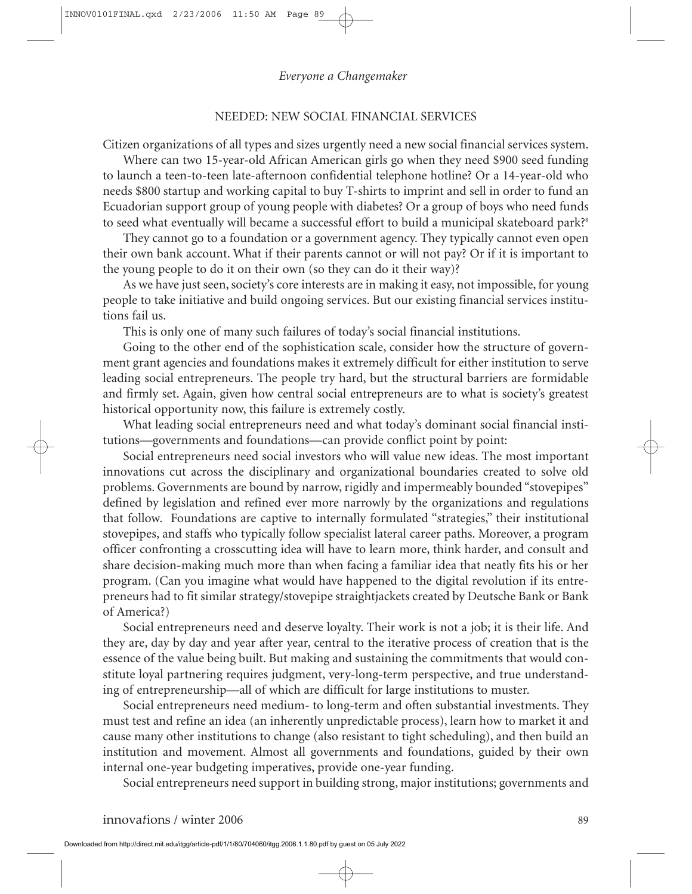## NEEDED: NEW SOCIAL FINANCIAL SERVICES

Citizen organizations of all types and sizes urgently need a new social financial services system.

Where can two 15-year-old African American girls go when they need \$900 seed funding to launch a teen-to-teen late-afternoon confidential telephone hotline? Or a 14-year-old who needs \$800 startup and working capital to buy T-shirts to imprint and sell in order to fund an Ecuadorian support group of young people with diabetes? Or a group of boys who need funds to seed what eventually will became a successful effort to build a municipal skateboard park?<sup>8</sup>

They cannot go to a foundation or a government agency. They typically cannot even open their own bank account. What if their parents cannot or will not pay? Or if it is important to the young people to do it on their own (so they can do it their way)?

As we have just seen, society's core interests are in making it easy, not impossible, for young people to take initiative and build ongoing services. But our existing financial services institutions fail us.

This is only one of many such failures of today's social financial institutions.

Going to the other end of the sophistication scale, consider how the structure of government grant agencies and foundations makes it extremely difficult for either institution to serve leading social entrepreneurs. The people try hard, but the structural barriers are formidable and firmly set. Again, given how central social entrepreneurs are to what is society's greatest historical opportunity now, this failure is extremely costly.

What leading social entrepreneurs need and what today's dominant social financial institutions—governments and foundations—can provide conflict point by point:

Social entrepreneurs need social investors who will value new ideas. The most important innovations cut across the disciplinary and organizational boundaries created to solve old problems. Governments are bound by narrow, rigidly and impermeably bounded "stovepipes" defined by legislation and refined ever more narrowly by the organizations and regulations that follow. Foundations are captive to internally formulated "strategies," their institutional stovepipes, and staffs who typically follow specialist lateral career paths. Moreover, a program officer confronting a crosscutting idea will have to learn more, think harder, and consult and share decision-making much more than when facing a familiar idea that neatly fits his or her program. (Can you imagine what would have happened to the digital revolution if its entrepreneurs had to fit similar strategy/stovepipe straightjackets created by Deutsche Bank or Bank of America?)

Social entrepreneurs need and deserve loyalty. Their work is not a job; it is their life. And they are, day by day and year after year, central to the iterative process of creation that is the essence of the value being built. But making and sustaining the commitments that would constitute loyal partnering requires judgment, very-long-term perspective, and true understanding of entrepreneurship—all of which are difficult for large institutions to muster.

Social entrepreneurs need medium- to long-term and often substantial investments. They must test and refine an idea (an inherently unpredictable process), learn how to market it and cause many other institutions to change (also resistant to tight scheduling), and then build an institution and movement. Almost all governments and foundations, guided by their own internal one-year budgeting imperatives, provide one-year funding.

Social entrepreneurs need support in building strong, major institutions; governments and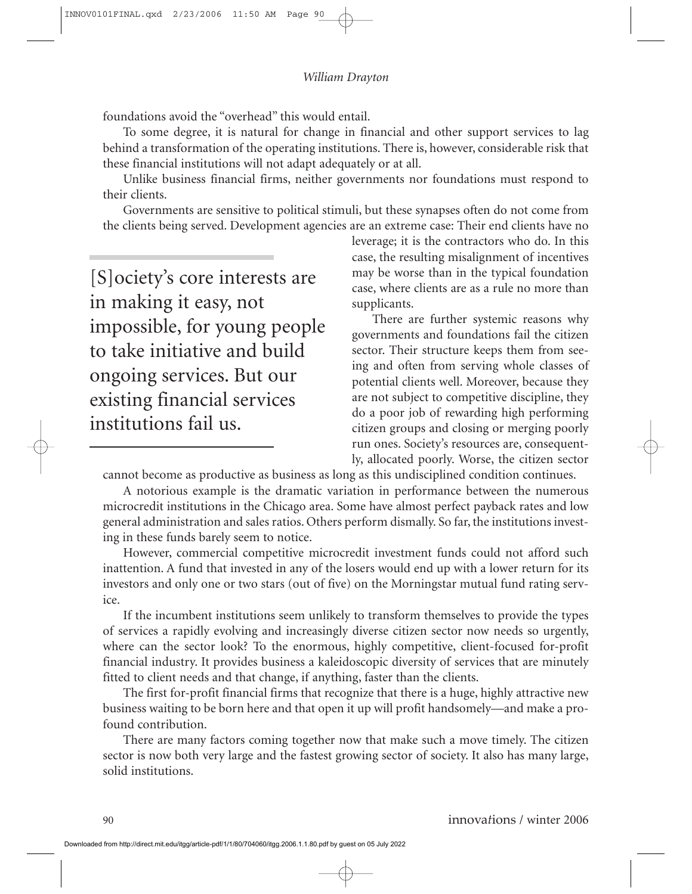foundations avoid the "overhead" this would entail.

To some degree, it is natural for change in financial and other support services to lag behind a transformation of the operating institutions. There is, however, considerable risk that these financial institutions will not adapt adequately or at all.

Unlike business financial firms, neither governments nor foundations must respond to their clients.

Governments are sensitive to political stimuli, but these synapses often do not come from the clients being served. Development agencies are an extreme case: Their end clients have no

[S]ociety's core interests are in making it easy, not impossible, for young people to take initiative and build ongoing services. But our existing financial services institutions fail us.

leverage; it is the contractors who do. In this case, the resulting misalignment of incentives may be worse than in the typical foundation case, where clients are as a rule no more than supplicants.

There are further systemic reasons why governments and foundations fail the citizen sector. Their structure keeps them from seeing and often from serving whole classes of potential clients well. Moreover, because they are not subject to competitive discipline, they do a poor job of rewarding high performing citizen groups and closing or merging poorly run ones. Society's resources are, consequently, allocated poorly. Worse, the citizen sector

cannot become as productive as business as long as this undisciplined condition continues.

A notorious example is the dramatic variation in performance between the numerous microcredit institutions in the Chicago area. Some have almost perfect payback rates and low general administration and sales ratios. Others perform dismally. So far, the institutions investing in these funds barely seem to notice.

However, commercial competitive microcredit investment funds could not afford such inattention. A fund that invested in any of the losers would end up with a lower return for its investors and only one or two stars (out of five) on the Morningstar mutual fund rating service.

If the incumbent institutions seem unlikely to transform themselves to provide the types of services a rapidly evolving and increasingly diverse citizen sector now needs so urgently, where can the sector look? To the enormous, highly competitive, client-focused for-profit financial industry. It provides business a kaleidoscopic diversity of services that are minutely fitted to client needs and that change, if anything, faster than the clients.

The first for-profit financial firms that recognize that there is a huge, highly attractive new business waiting to be born here and that open it up will profit handsomely—and make a profound contribution.

There are many factors coming together now that make such a move timely. The citizen sector is now both very large and the fastest growing sector of society. It also has many large, solid institutions.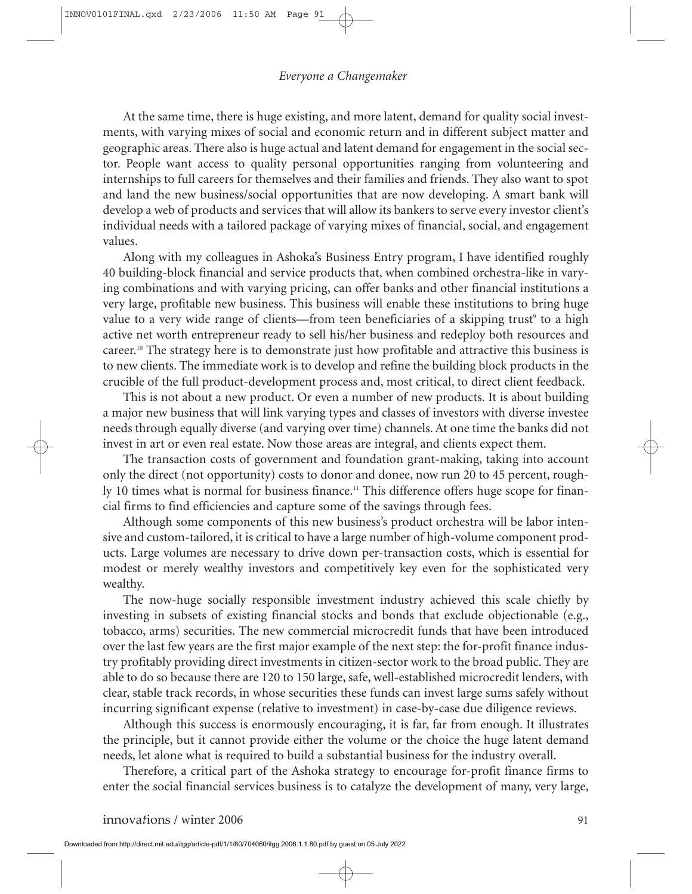At the same time, there is huge existing, and more latent, demand for quality social investments, with varying mixes of social and economic return and in different subject matter and geographic areas. There also is huge actual and latent demand for engagement in the social sector. People want access to quality personal opportunities ranging from volunteering and internships to full careers for themselves and their families and friends. They also want to spot and land the new business/social opportunities that are now developing. A smart bank will develop a web of products and services that will allow its bankers to serve every investor client's individual needs with a tailored package of varying mixes of financial, social, and engagement values.

Along with my colleagues in Ashoka's Business Entry program, I have identified roughly 40 building-block financial and service products that, when combined orchestra-like in varying combinations and with varying pricing, can offer banks and other financial institutions a very large, profitable new business. This business will enable these institutions to bring huge value to a very wide range of clients—from teen beneficiaries of a skipping trust<sup>9</sup> to a high active net worth entrepreneur ready to sell his/her business and redeploy both resources and career.10 The strategy here is to demonstrate just how profitable and attractive this business is to new clients. The immediate work is to develop and refine the building block products in the crucible of the full product-development process and, most critical, to direct client feedback.

This is not about a new product. Or even a number of new products. It is about building a major new business that will link varying types and classes of investors with diverse investee needs through equally diverse (and varying over time) channels. At one time the banks did not invest in art or even real estate. Now those areas are integral, and clients expect them.

The transaction costs of government and foundation grant-making, taking into account only the direct (not opportunity) costs to donor and donee, now run 20 to 45 percent, roughly 10 times what is normal for business finance.<sup>11</sup> This difference offers huge scope for financial firms to find efficiencies and capture some of the savings through fees.

Although some components of this new business's product orchestra will be labor intensive and custom-tailored, it is critical to have a large number of high-volume component products. Large volumes are necessary to drive down per-transaction costs, which is essential for modest or merely wealthy investors and competitively key even for the sophisticated very wealthy.

The now-huge socially responsible investment industry achieved this scale chiefly by investing in subsets of existing financial stocks and bonds that exclude objectionable (e.g., tobacco, arms) securities. The new commercial microcredit funds that have been introduced over the last few years are the first major example of the next step: the for-profit finance industry profitably providing direct investments in citizen-sector work to the broad public. They are able to do so because there are 120 to 150 large, safe, well-established microcredit lenders, with clear, stable track records, in whose securities these funds can invest large sums safely without incurring significant expense (relative to investment) in case-by-case due diligence reviews.

Although this success is enormously encouraging, it is far, far from enough. It illustrates the principle, but it cannot provide either the volume or the choice the huge latent demand needs, let alone what is required to build a substantial business for the industry overall.

Therefore, a critical part of the Ashoka strategy to encourage for-profit finance firms to enter the social financial services business is to catalyze the development of many, very large,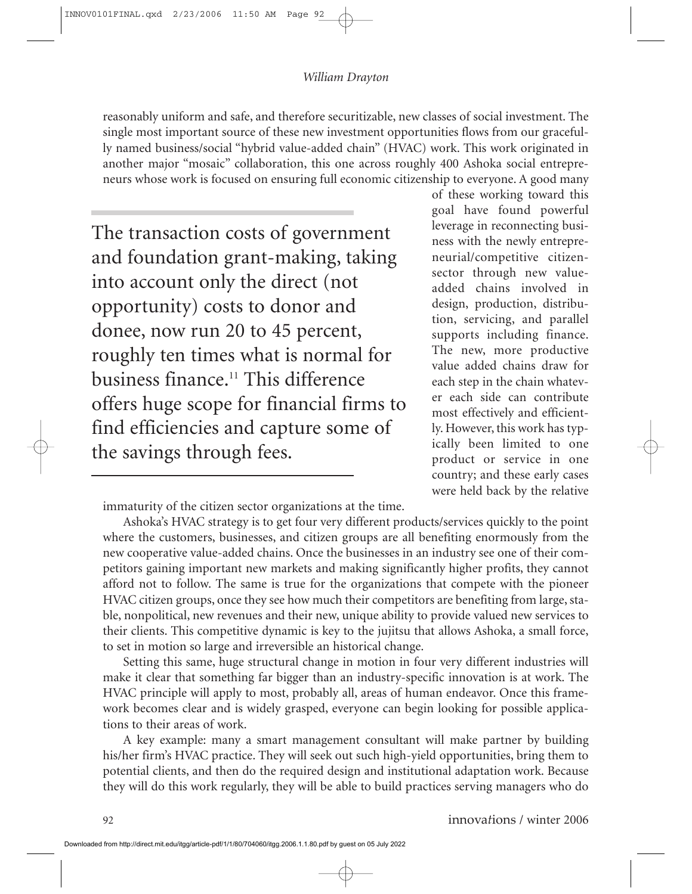reasonably uniform and safe, and therefore securitizable, new classes of social investment. The single most important source of these new investment opportunities flows from our gracefully named business/social "hybrid value-added chain" (HVAC) work. This work originated in another major "mosaic" collaboration, this one across roughly 400 Ashoka social entrepreneurs whose work is focused on ensuring full economic citizenship to everyone. A good many

The transaction costs of government and foundation grant-making, taking into account only the direct (not opportunity) costs to donor and donee, now run 20 to 45 percent, roughly ten times what is normal for business finance.11 This difference offers huge scope for financial firms to find efficiencies and capture some of the savings through fees.

of these working toward this goal have found powerful leverage in reconnecting business with the newly entrepreneurial/competitive citizensector through new valueadded chains involved in design, production, distribution, servicing, and parallel supports including finance. The new, more productive value added chains draw for each step in the chain whatever each side can contribute most effectively and efficiently. However, this work has typically been limited to one product or service in one country; and these early cases were held back by the relative

immaturity of the citizen sector organizations at the time.

Ashoka's HVAC strategy is to get four very different products/services quickly to the point where the customers, businesses, and citizen groups are all benefiting enormously from the new cooperative value-added chains. Once the businesses in an industry see one of their competitors gaining important new markets and making significantly higher profits, they cannot afford not to follow. The same is true for the organizations that compete with the pioneer HVAC citizen groups, once they see how much their competitors are benefiting from large, stable, nonpolitical, new revenues and their new, unique ability to provide valued new services to their clients. This competitive dynamic is key to the jujitsu that allows Ashoka, a small force, to set in motion so large and irreversible an historical change.

Setting this same, huge structural change in motion in four very different industries will make it clear that something far bigger than an industry-specific innovation is at work. The HVAC principle will apply to most, probably all, areas of human endeavor. Once this framework becomes clear and is widely grasped, everyone can begin looking for possible applications to their areas of work.

A key example: many a smart management consultant will make partner by building his/her firm's HVAC practice. They will seek out such high-yield opportunities, bring them to potential clients, and then do the required design and institutional adaptation work. Because they will do this work regularly, they will be able to build practices serving managers who do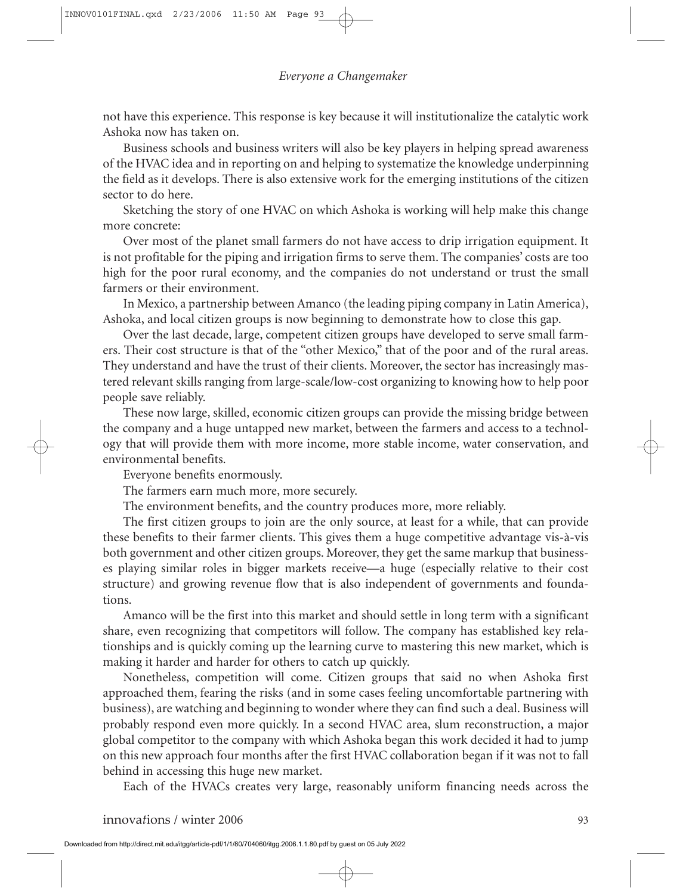not have this experience. This response is key because it will institutionalize the catalytic work Ashoka now has taken on.

Business schools and business writers will also be key players in helping spread awareness of the HVAC idea and in reporting on and helping to systematize the knowledge underpinning the field as it develops. There is also extensive work for the emerging institutions of the citizen sector to do here.

Sketching the story of one HVAC on which Ashoka is working will help make this change more concrete:

Over most of the planet small farmers do not have access to drip irrigation equipment. It is not profitable for the piping and irrigation firms to serve them. The companies' costs are too high for the poor rural economy, and the companies do not understand or trust the small farmers or their environment.

In Mexico, a partnership between Amanco (the leading piping company in Latin America), Ashoka, and local citizen groups is now beginning to demonstrate how to close this gap.

Over the last decade, large, competent citizen groups have developed to serve small farmers. Their cost structure is that of the "other Mexico," that of the poor and of the rural areas. They understand and have the trust of their clients. Moreover, the sector has increasingly mastered relevant skills ranging from large-scale/low-cost organizing to knowing how to help poor people save reliably.

These now large, skilled, economic citizen groups can provide the missing bridge between the company and a huge untapped new market, between the farmers and access to a technology that will provide them with more income, more stable income, water conservation, and environmental benefits.

Everyone benefits enormously.

The farmers earn much more, more securely.

The environment benefits, and the country produces more, more reliably.

The first citizen groups to join are the only source, at least for a while, that can provide these benefits to their farmer clients. This gives them a huge competitive advantage vis-à-vis both government and other citizen groups. Moreover, they get the same markup that businesses playing similar roles in bigger markets receive—a huge (especially relative to their cost structure) and growing revenue flow that is also independent of governments and foundations.

Amanco will be the first into this market and should settle in long term with a significant share, even recognizing that competitors will follow. The company has established key relationships and is quickly coming up the learning curve to mastering this new market, which is making it harder and harder for others to catch up quickly.

Nonetheless, competition will come. Citizen groups that said no when Ashoka first approached them, fearing the risks (and in some cases feeling uncomfortable partnering with business), are watching and beginning to wonder where they can find such a deal. Business will probably respond even more quickly. In a second HVAC area, slum reconstruction, a major global competitor to the company with which Ashoka began this work decided it had to jump on this new approach four months after the first HVAC collaboration began if it was not to fall behind in accessing this huge new market.

Each of the HVACs creates very large, reasonably uniform financing needs across the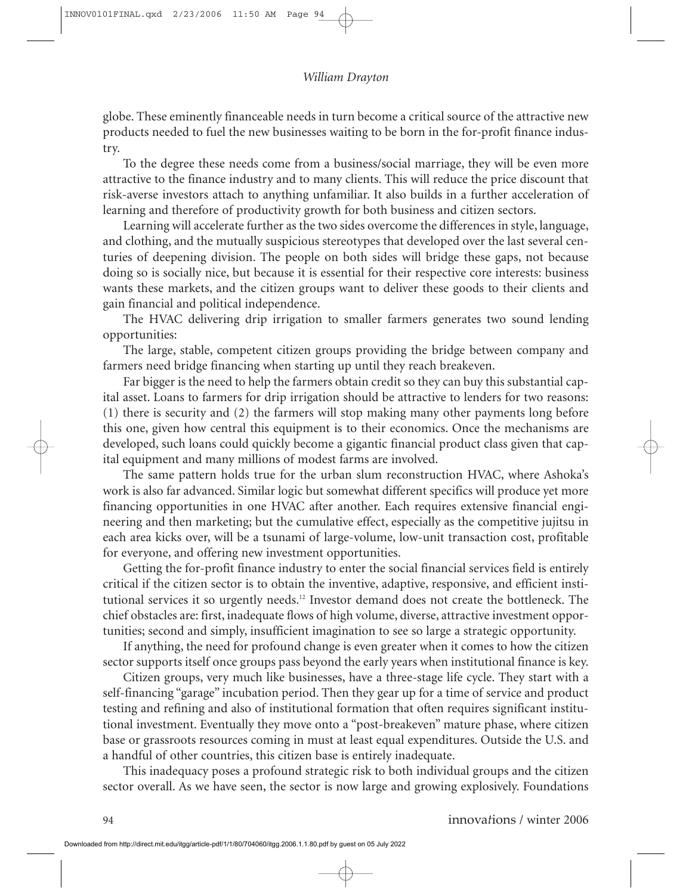globe. These eminently financeable needs in turn become a critical source of the attractive new products needed to fuel the new businesses waiting to be born in the for-profit finance industry.

To the degree these needs come from a business/social marriage, they will be even more attractive to the finance industry and to many clients. This will reduce the price discount that risk-averse investors attach to anything unfamiliar. It also builds in a further acceleration of learning and therefore of productivity growth for both business and citizen sectors.

Learning will accelerate further as the two sides overcome the differences in style, language, and clothing, and the mutually suspicious stereotypes that developed over the last several centuries of deepening division. The people on both sides will bridge these gaps, not because doing so is socially nice, but because it is essential for their respective core interests: business wants these markets, and the citizen groups want to deliver these goods to their clients and gain financial and political independence.

The HVAC delivering drip irrigation to smaller farmers generates two sound lending opportunities:

The large, stable, competent citizen groups providing the bridge between company and farmers need bridge financing when starting up until they reach breakeven.

Far bigger is the need to help the farmers obtain credit so they can buy this substantial capital asset. Loans to farmers for drip irrigation should be attractive to lenders for two reasons: (1) there is security and (2) the farmers will stop making many other payments long before this one, given how central this equipment is to their economics. Once the mechanisms are developed, such loans could quickly become a gigantic financial product class given that capital equipment and many millions of modest farms are involved.

The same pattern holds true for the urban slum reconstruction HVAC, where Ashoka's work is also far advanced. Similar logic but somewhat different specifics will produce yet more financing opportunities in one HVAC after another. Each requires extensive financial engineering and then marketing; but the cumulative effect, especially as the competitive jujitsu in each area kicks over, will be a tsunami of large-volume, low-unit transaction cost, profitable for everyone, and offering new investment opportunities.

Getting the for-profit finance industry to enter the social financial services field is entirely critical if the citizen sector is to obtain the inventive, adaptive, responsive, and efficient institutional services it so urgently needs.12 Investor demand does not create the bottleneck. The chief obstacles are: first, inadequate flows of high volume, diverse, attractive investment opportunities; second and simply, insufficient imagination to see so large a strategic opportunity.

If anything, the need for profound change is even greater when it comes to how the citizen sector supports itself once groups pass beyond the early years when institutional finance is key.

Citizen groups, very much like businesses, have a three-stage life cycle. They start with a self-financing "garage" incubation period. Then they gear up for a time of service and product testing and refining and also of institutional formation that often requires significant institutional investment. Eventually they move onto a "post-breakeven" mature phase, where citizen base or grassroots resources coming in must at least equal expenditures. Outside the U.S. and a handful of other countries, this citizen base is entirely inadequate.

This inadequacy poses a profound strategic risk to both individual groups and the citizen sector overall. As we have seen, the sector is now large and growing explosively. Foundations

94 innova*t*ions / winter 2006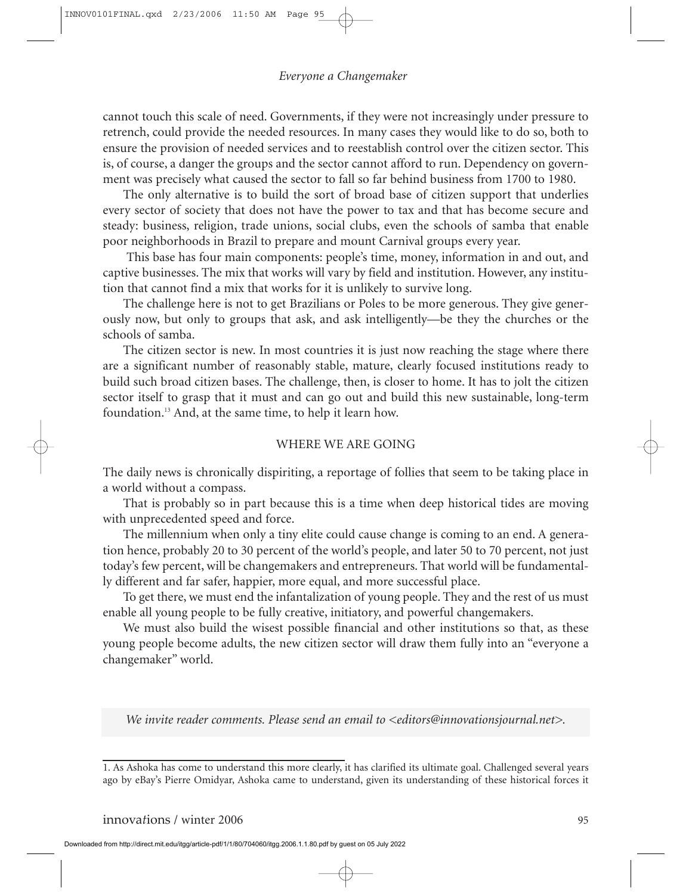cannot touch this scale of need. Governments, if they were not increasingly under pressure to retrench, could provide the needed resources. In many cases they would like to do so, both to ensure the provision of needed services and to reestablish control over the citizen sector. This is, of course, a danger the groups and the sector cannot afford to run. Dependency on government was precisely what caused the sector to fall so far behind business from 1700 to 1980.

The only alternative is to build the sort of broad base of citizen support that underlies every sector of society that does not have the power to tax and that has become secure and steady: business, religion, trade unions, social clubs, even the schools of samba that enable poor neighborhoods in Brazil to prepare and mount Carnival groups every year.

This base has four main components: people's time, money, information in and out, and captive businesses. The mix that works will vary by field and institution. However, any institution that cannot find a mix that works for it is unlikely to survive long.

The challenge here is not to get Brazilians or Poles to be more generous. They give generously now, but only to groups that ask, and ask intelligently—be they the churches or the schools of samba.

The citizen sector is new. In most countries it is just now reaching the stage where there are a significant number of reasonably stable, mature, clearly focused institutions ready to build such broad citizen bases. The challenge, then, is closer to home. It has to jolt the citizen sector itself to grasp that it must and can go out and build this new sustainable, long-term foundation.13 And, at the same time, to help it learn how.

## WHERE WE ARE GOING

The daily news is chronically dispiriting, a reportage of follies that seem to be taking place in a world without a compass.

That is probably so in part because this is a time when deep historical tides are moving with unprecedented speed and force.

The millennium when only a tiny elite could cause change is coming to an end. A generation hence, probably 20 to 30 percent of the world's people, and later 50 to 70 percent, not just today's few percent, will be changemakers and entrepreneurs. That world will be fundamentally different and far safer, happier, more equal, and more successful place.

To get there, we must end the infantalization of young people. They and the rest of us must enable all young people to be fully creative, initiatory, and powerful changemakers.

We must also build the wisest possible financial and other institutions so that, as these young people become adults, the new citizen sector will draw them fully into an "everyone a changemaker" world.

*We invite reader comments. Please send an email to <editors@innovationsjournal.net>.*

innovations / winter 2006 95

Downloaded from http://direct.mit.edu/itgg/article-pdf/1/1/80/704060/itgg.2006.1.1.80.pdf by guest on 05 July 2022

<sup>1.</sup> As Ashoka has come to understand this more clearly, it has clarified its ultimate goal. Challenged several years ago by eBay's Pierre Omidyar, Ashoka came to understand, given its understanding of these historical forces it